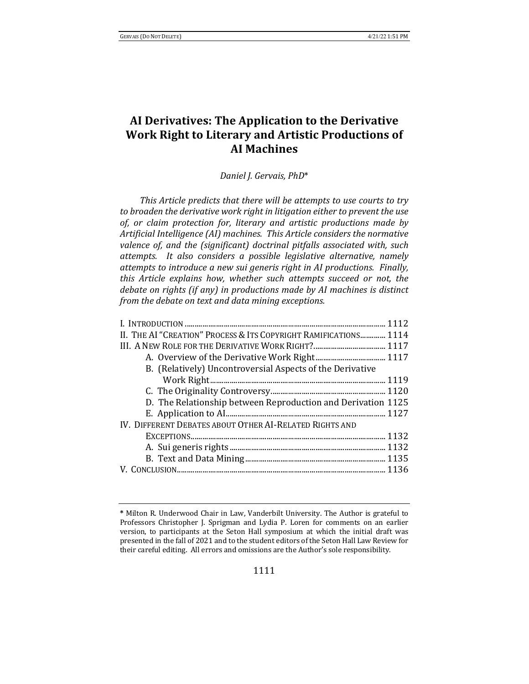# **AI Derivatives: The Application to the Derivative Work Right to Literary and Artistic Productions of AI Machines**

*Daniel J. Gervais, PhD*\*

*This Article predicts that there will be attempts to use courts to try* to broaden the derivative work right in litigation either to prevent the use of, or claim protection for, literary and artistic productions made by Artificial Intelligence (AI) machines. This Article considers the normative valence of, and the (significant) doctrinal pitfalls associated with, such attempts. It also considers a possible legislative alternative, namely *attempts to introduce a new sui generis right in AI productions. Finally, this* Article explains how, whether such attempts succeed or not, the *debate on rights (if any)* in productions made by AI machines is distinct *from the debate on text and data mining exceptions.* 

| II. THE AI "CREATION" PROCESS & ITS COPYRIGHT RAMIFICATIONS 1114 |  |
|------------------------------------------------------------------|--|
|                                                                  |  |
|                                                                  |  |
| B. (Relatively) Uncontroversial Aspects of the Derivative        |  |
|                                                                  |  |
|                                                                  |  |
| D. The Relationship between Reproduction and Derivation 1125     |  |
|                                                                  |  |
| IV. DIFFERENT DEBATES ABOUT OTHER AI-RELATED RIGHTS AND          |  |
|                                                                  |  |
|                                                                  |  |
|                                                                  |  |
|                                                                  |  |
|                                                                  |  |

**<sup>\*</sup>** Milton R. Underwood Chair in Law, Vanderbilt University. The Author is grateful to Professors Christopher J. Sprigman and Lydia P. Loren for comments on an earlier version, to participants at the Seton Hall symposium at which the initial draft was presented in the fall of 2021 and to the student editors of the Seton Hall Law Review for their careful editing. All errors and omissions are the Author's sole responsibility.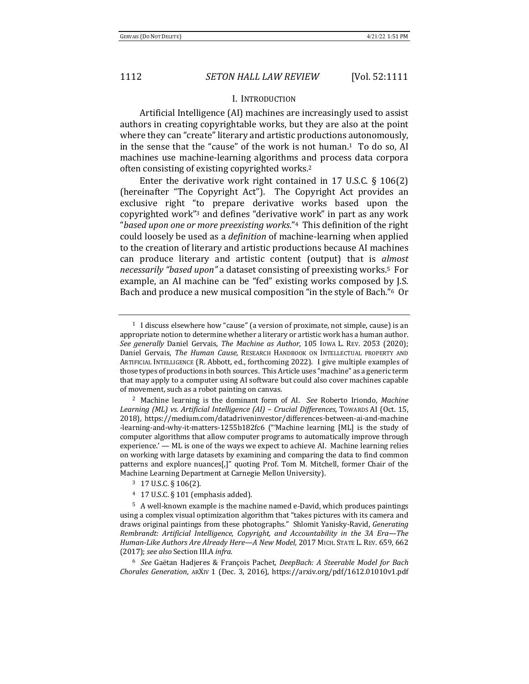### **I. INTRODUCTION**

Artificial Intelligence (AI) machines are increasingly used to assist authors in creating copyrightable works, but they are also at the point where they can "create" literary and artistic productions autonomously, in the sense that the "cause" of the work is not human.<sup>1</sup> To do so, AI machines use machine-learning algorithms and process data corpora often consisting of existing copyrighted works.<sup>2</sup>

Enter the derivative work right contained in 17 U.S.C.  $\S$  106(2) (hereinafter "The Copyright Act"). The Copyright Act provides an exclusive right "to prepare derivative works based upon the copyrighted work"<sup>3</sup> and defines "derivative work" in part as any work "based upon one or more preexisting works."<sup>4</sup> This definition of the right could loosely be used as a *definition* of machine-learning when applied to the creation of literary and artistic productions because AI machines can produce literary and artistic content (output) that is *almost necessarily* "based upon" a dataset consisting of preexisting works.<sup>5</sup> For example, an AI machine can be "fed" existing works composed by J.S. Bach and produce a new musical composition "in the style of Bach."<sup>6</sup> Or

<sup>&</sup>lt;sup>1</sup> I discuss elsewhere how "cause" (a version of proximate, not simple, cause) is an appropriate notion to determine whether a literary or artistic work has a human author. *See generally* Daniel Gervais, *The Machine as Author*, 105 Iowa L. Rev. 2053 (2020); Daniel Gervais, *The Human Cause*, RESEARCH HANDBOOK ON INTELLECTUAL PROPERTY AND ARTIFICIAL INTELLIGENCE (R. Abbott, ed., forthcoming 2022). I give multiple examples of those types of productions in both sources. This Article uses "machine" as a generic term that may apply to a computer using AI software but could also cover machines capable of movement, such as a robot painting on canvas.

<sup>&</sup>lt;sup>2</sup> Machine learning is the dominant form of AI. *See* Roberto Iriondo, *Machine* Learning (ML) vs. Artificial Intelligence (AI) – Crucial Differences, Towards AI (Oct. 15, 2018), https://medium.com/datadriveninvestor/differences-between-ai-and-machine -learning-and-why-it-matters-1255b182fc6 ("Machine learning [ML] is the study of computer algorithms that allow computer programs to automatically improve through experience.' — ML is one of the ways we expect to achieve AI. Machine learning relies on working with large datasets by examining and comparing the data to find common patterns and explore nuances[,]" quoting Prof. Tom M. Mitchell, former Chair of the Machine Learning Department at Carnegie Mellon University).

<sup>3</sup> 17 U.S.C. § 106(2).

 $4$  17 U.S.C. § 101 (emphasis added).

<sup>&</sup>lt;sup>5</sup> A well-known example is the machine named e-David, which produces paintings using a complex visual optimization algorithm that "takes pictures with its camera and draws original paintings from these photographs." Shlomit Yanisky-Ravid, *Generating Rembrandt: Artificial Intelligence, Copyright, and Accountability in the 3A Era—The* Human-Like Authors Are Already Here-A New Model, 2017 MICH. STATE L. REV. 659, 662 (2017); *see also* Section III.A *infra.*

<sup>&</sup>lt;sup>6</sup> See Gaëtan Hadjeres & François Pachet, DeepBach: A Steerable Model for Bach *Chorales Generation*, ARXIV 1 (Dec. 3, 2016), https://arxiv.org/pdf/1612.01010v1.pdf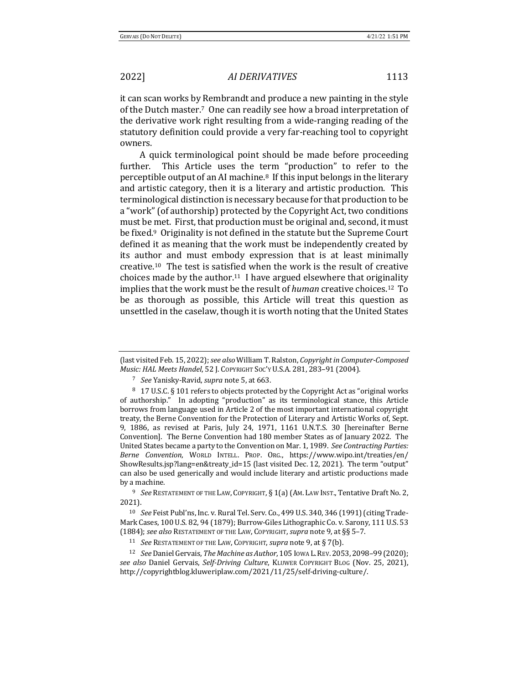it can scan works by Rembrandt and produce a new painting in the style of the Dutch master.<sup>7</sup> One can readily see how a broad interpretation of the derivative work right resulting from a wide-ranging reading of the statutory definition could provide a very far-reaching tool to copyright owners. 

A quick terminological point should be made before proceeding further. This Article uses the term "production" to refer to the perceptible output of an AI machine.<sup>8</sup> If this input belongs in the literary and artistic category, then it is a literary and artistic production. This terminological distinction is necessary because for that production to be a "work" (of authorship) protected by the Copyright Act, two conditions must be met. First, that production must be original and, second, it must be fixed.<sup>9</sup> Originality is not defined in the statute but the Supreme Court defined it as meaning that the work must be independently created by its author and must embody expression that is at least minimally creative.<sup>10</sup> The test is satisfied when the work is the result of creative choices made by the author.<sup>11</sup> I have argued elsewhere that originality implies that the work must be the result of *human* creative choices.<sup>12</sup> To be as thorough as possible, this Article will treat this question as unsettled in the caselaw, though it is worth noting that the United States

<sup>(</sup>last visited Feb. 15, 2022); see also William T. Ralston, *Copyright in Computer-Composed Music: HAL Meets Handel*, 52 J. COPYRIGHT SOC'Y U.S.A. 281, 283-91 (2004).

<sup>&</sup>lt;sup>7</sup> *See* Yanisky-Ravid, *supra* note 5, at 663.

<sup>8 17</sup> U.S.C. § 101 refers to objects protected by the Copyright Act as "original works of authorship." In adopting "production" as its terminological stance, this Article borrows from language used in Article 2 of the most important international copyright treaty, the Berne Convention for the Protection of Literary and Artistic Works of, Sept. 9, 1886, as revised at Paris, July 24, 1971, 1161 U.N.T.S. 30 [hereinafter Berne Convention]. The Berne Convention had 180 member States as of January 2022. The United States became a party to the Convention on Mar. 1, 1989. See Contracting Parties: *Berne Convention*, WORLD INTELL. PROP. ORG., https://www.wipo.int/treaties/en/ ShowResults.jsp?lang=en&treaty\_id=15 (last visited Dec. 12, 2021). The term "output" can also be used generically and would include literary and artistic productions made by a machine.

<sup>&</sup>lt;sup>9</sup> *See* RESTATEMENT OF THE LAW, COPYRIGHT, § 1(a) (AM. LAW INST., Tentative Draft No. 2, 2021).

<sup>&</sup>lt;sup>10</sup> *See* Feist Publ'ns, Inc. v. Rural Tel. Serv. Co., 499 U.S. 340, 346 (1991) (citing Trade-Mark Cases, 100 U.S. 82, 94 (1879); Burrow-Giles Lithographic Co. v. Sarony, 111 U.S. 53 (1884); see also RESTATEMENT OF THE LAW, COPYRIGHT, supra note 9, at §§ 5-7.

<sup>&</sup>lt;sup>11</sup> *See* RESTATEMENT OF THE LAW, COPYRIGHT, *supra* note 9, at § 7(b).

<sup>&</sup>lt;sup>12</sup> *See* Daniel Gervais, *The Machine as Author*, 105 Iowa L. REV. 2053, 2098–99 (2020); *see also* Daniel Gervais, *Self-Driving Culture*, KLUWER COPYRIGHT BLOG (Nov. 25, 2021), http://copyrightblog.kluweriplaw.com/2021/11/25/self-driving-culture/.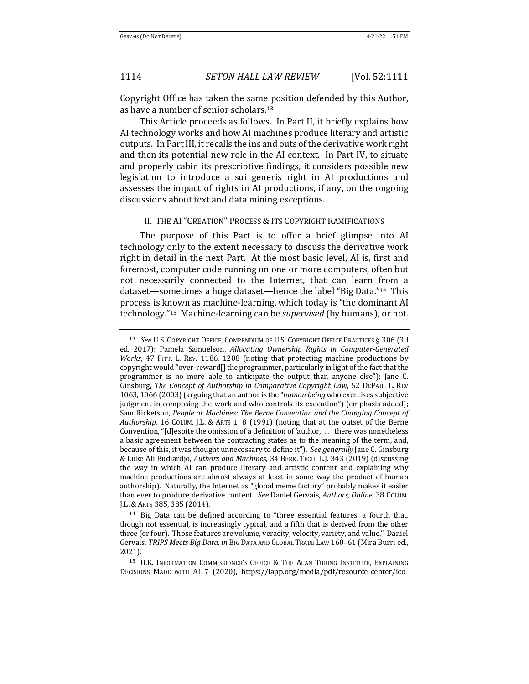Copyright Office has taken the same position defended by this Author, as have a number of senior scholars.<sup>13</sup>

This Article proceeds as follows. In Part II, it briefly explains how AI technology works and how AI machines produce literary and artistic outputs. In Part III, it recalls the ins and outs of the derivative work right and then its potential new role in the AI context. In Part IV, to situate and properly cabin its prescriptive findings, it considers possible new legislation to introduce a sui generis right in AI productions and assesses the impact of rights in AI productions, if any, on the ongoing discussions about text and data mining exceptions.

### II. THE AI "CREATION" PROCESS & ITS COPYRIGHT RAMIFICATIONS

The purpose of this Part is to offer a brief glimpse into AI technology only to the extent necessary to discuss the derivative work right in detail in the next Part. At the most basic level, AI is, first and foremost, computer code running on one or more computers, often but not necessarily connected to the Internet, that can learn from a dataset—sometimes a huge dataset—hence the label "Big Data."<sup>14</sup> This process is known as machine-learning, which today is "the dominant AI technology."<sup>15</sup> Machine-learning can be *supervised* (by humans), or not.

<sup>&</sup>lt;sup>13</sup> See U.S. COPYRIGHT OFFICE, COMPENDIUM OF U.S. COPYRIGHT OFFICE PRACTICES § 306 (3d) ed. 2017); Pamela Samuelson, *Allocating Ownership Rights in Computer-Generated Works*, 47 PITT. L. REV. 1186, 1208 (noting that protecting machine productions by copyright would "over-reward $\prod$  the programmer, particularly in light of the fact that the programmer is no more able to anticipate the output than anyone else"); Jane C. Ginsburg, *The Concept of Authorship in Comparative Copyright Law*, 52 DEPAUL L. REV 1063, 1066 (2003) (arguing that an author is the "human being who exercises subjective judgment in composing the work and who controls its execution") (emphasis added); Sam Ricketson, People or Machines: The Berne Convention and the Changing Concept of Authorship, 16 COLUM. J.L. & ARTS 1, 8 (1991) (noting that at the outset of the Berne Convention, "[d]espite the omission of a definition of 'author,'... there was nonetheless a basic agreement between the contracting states as to the meaning of the term, and, because of this, it was thought unnecessary to define it"). See generally Jane C. Ginsburg & Luke Ali Budiardjo, *Authors and Machines*, 34 BERK. TECH. L.J. 343 (2019) (discussing the way in which AI can produce literary and artistic content and explaining why machine productions are almost always at least in some way the product of human authorship). Naturally, the Internet as "global meme factory" probably makes it easier than ever to produce derivative content. See Daniel Gervais, Authors, Online, 38 COLUM. J.L. & ARTS 385, 385 (2014).

 $14$  Big Data can be defined according to "three essential features, a fourth that, though not essential, is increasingly typical, and a fifth that is derived from the other three (or four). Those features are volume, veracity, velocity, variety, and value." Daniel Gervais, *TRIPS Meets Big Data, in* BIG DATA AND GLOBAL TRADE LAW 160-61 (Mira Burri ed., 2021).

<sup>&</sup>lt;sup>15</sup> U.K. INFORMATION COMMISSIONER'S OFFICE & THE ALAN TURING INSTITUTE, EXPLAINING DECISIONS MADE WITH AI 7 (2020), https://iapp.org/media/pdf/resource\_center/ico\_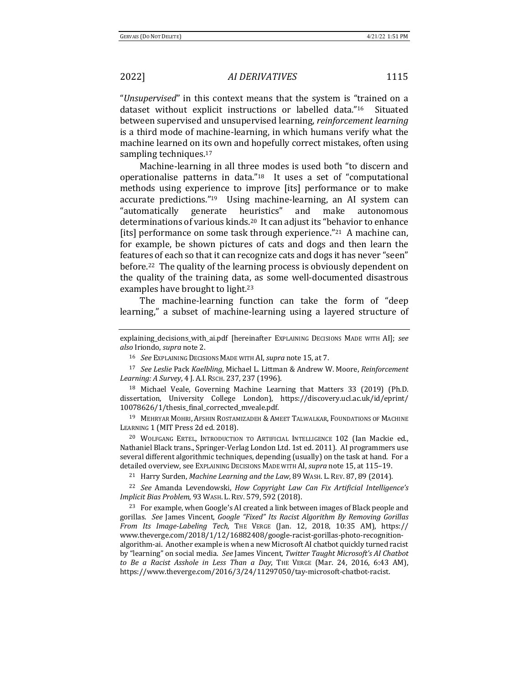"Unsupervised" in this context means that the system is "trained on a dataset without explicit instructions or labelled data."<sup>16</sup> Situated between supervised and unsupervised learning, *reinforcement learning* is a third mode of machine-learning, in which humans verify what the machine learned on its own and hopefully correct mistakes, often using sampling techniques. $17$ 

Machine-learning in all three modes is used both "to discern and operationalise patterns in data." $18$  It uses a set of "computational methods using experience to improve [its] performance or to make accurate predictions."<sup>19</sup> Using machine-learning, an AI system can "automatically generate heuristics" and make autonomous determinations of various kinds.<sup>20</sup> It can adjust its "behavior to enhance [its] performance on some task through experience."<sup>21</sup> A machine can, for example, be shown pictures of cats and dogs and then learn the features of each so that it can recognize cats and dogs it has never "seen" before.<sup>22</sup> The quality of the learning process is obviously dependent on the quality of the training data, as some well-documented disastrous examples have brought to light.<sup>23</sup>

The machine-learning function can take the form of "deep learning," a subset of machine-learning using a layered structure of

explaining\_decisions\_with\_ai.pdf [hereinafter Explaining Decisions Made with AI]; see *also* Iriondo, *supra* note 2.

<sup>&</sup>lt;sup>16</sup> *See* EXPLAINING DECISIONS MADE WITH AI, *supra* note 15, at 7.

<sup>&</sup>lt;sup>17</sup> See Leslie Pack Kaelbling, Michael L. Littman & Andrew W. Moore, Reinforcement *Learning: A Survey*, 4 J. A.I. RSCH. 237, 237 (1996).

<sup>&</sup>lt;sup>18</sup> Michael Veale, Governing Machine Learning that Matters 33 (2019) (Ph.D. dissertation, University College London), https://discovery.ucl.ac.uk/id/eprint/ 10078626/1/thesis\_final\_corrected\_mveale.pdf. 

<sup>&</sup>lt;sup>19</sup> MEHRYAR MOHRI, AFSHIN ROSTAMIZADEH & AMEET TALWALKAR, FOUNDATIONS OF MACHINE LEARNING 1 (MIT Press 2d ed. 2018).

<sup>&</sup>lt;sup>20</sup> WOLFGANG ERTEL, INTRODUCTION TO ARTIFICIAL INTELLIGENCE 102 (Ian Mackie ed., Nathaniel Black trans., Springer-Verlag London Ltd. 1st ed. 2011). AI programmers use several different algorithmic techniques, depending (usually) on the task at hand. For a detailed overview, see Explaining Decisions Made with AI, *supra* note 15, at 115-19.

<sup>&</sup>lt;sup>21</sup> Harry Surden, *Machine Learning and the Law*, 89 WASH. L. REV. 87, 89 (2014).

<sup>&</sup>lt;sup>22</sup> See Amanda Levendowski, *How Copyright Law Can Fix Artificial Intelligence's Implicit Bias Problem*, 93 WASH. L. REV. 579, 592 (2018). 

<sup>&</sup>lt;sup>23</sup> For example, when Google's AI created a link between images of Black people and gorillas. See James Vincent, Google "Fixed" Its Racist Algorithm By Removing Gorillas *From Its Image-Labeling Tech*, THE VERGE (Jan. 12, 2018, 10:35 AM), https:// www.theverge.com/2018/1/12/16882408/google-racist-gorillas-photo-recognitionalgorithm-ai. Another example is when a new Microsoft AI chatbot quickly turned racist by "learning" on social media. See James Vincent, *Twitter Taught Microsoft's AI Chatbot to Be* a Racist Asshole in Less Than a Day, THE VERGE (Mar. 24, 2016, 6:43 AM), https://www.theverge.com/2016/3/24/11297050/tay-microsoft-chatbot-racist.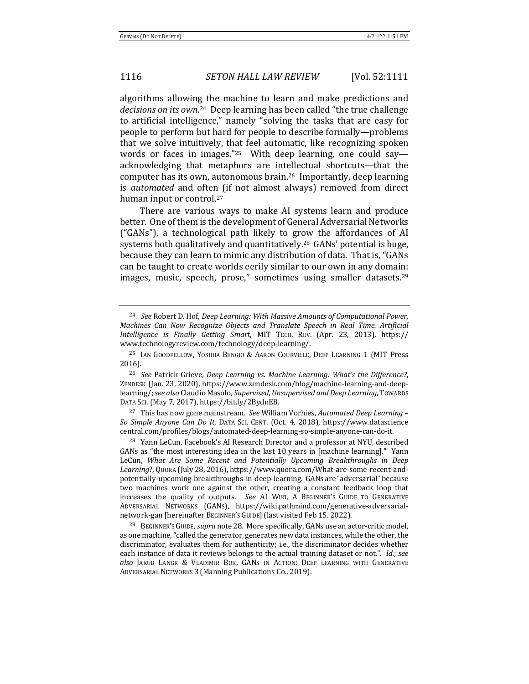algorithms allowing the machine to learn and make predictions and decisions on its own.<sup>24</sup> Deep learning has been called "the true challenge to artificial intelligence," namely "solving the tasks that are easy for people to perform but hard for people to describe formally—problems that we solve intuitively, that feel automatic, like recognizing spoken words or faces in images."<sup>25</sup> With deep learning, one could say acknowledging that metaphors are intellectual shortcuts—that the computer has its own, autonomous brain.<sup>26</sup> Importantly, deep learning is *automated* and often (if not almost always) removed from direct human input or control.<sup>27</sup>

There are various ways to make AI systems learn and produce better. One of them is the development of General Adversarial Networks ("GANs"), a technological path likely to grow the affordances of AI systems both qualitatively and quantitatively.<sup>28</sup>  $GANs'$  potential is huge, because they can learn to mimic any distribution of data. That is, "GANs can be taught to create worlds eerily similar to our own in any domain: images, music, speech, prose," sometimes using smaller datasets.<sup>29</sup>

<sup>27</sup> This has now gone mainstream. *See* William Vorhies, *Automated Deep Learning* -*So Simple Anyone Can Do It*, DATA SCI. CENT. (Oct. 4, 2018), https://www.datascience central.com/profiles/blogs/automated-deep-learning-so-simple-anyone-can-do-it.

<sup>&</sup>lt;sup>24</sup> See Robert D. Hof, *Deep Learning: With Massive Amounts of Computational Power, Machines Can Now Recognize Objects and Translate Speech in Real Time. Artificial Intelligence is Finally Getting Smar*t, MIT TECH. REV. (Apr. 23, 2013), https:// www.technologyreview.com/technology/deep-learning/. 

<sup>&</sup>lt;sup>25</sup> IAN GOODFELLOW, YOSHUA BENGIO & AARON COURVILLE, DEEP LEARNING 1 (MIT Press 2016).

<sup>&</sup>lt;sup>26</sup> *See* Patrick Grieve, *Deep Learning vs. Machine Learning: What's the Difference?*, ZENDESK (Jan. 23, 2020), https://www.zendesk.com/blog/machine-learning-and-deeplearning/; see also Claudio Masolo, Supervised, Unsupervised and Deep Learning, TowARDS DATA SCI. (May 7, 2017), https://bit.ly/2BydnE8.

<sup>&</sup>lt;sup>28</sup> Yann LeCun, Facebook's AI Research Director and a professor at NYU, described GANs as "the most interesting idea in the last 10 years in [machine learning]." Yann LeCun, What Are Some Recent and Potentially Upcoming Breakthroughs in Deep Learning?, Quora (July 28, 2016), https://www.quora.com/What-are-some-recent-andpotentially-upcoming-breakthroughs-in-deep-learning. GANs are "adversarial" because two machines work one against the other, creating a constant feedback loop that increases the quality of outputs. See AI WIKI, A BEGINNER'S GUIDE TO GENERATIVE ADVERSARIAL NETWORKS (GANS), https://wiki.pathmind.com/generative-adversarialnetwork-gan [hereinafter BEGINNER's GUIDE] (last visited Feb 15. 2022).

<sup>&</sup>lt;sup>29</sup> BEGINNER's GUIDE, *supra* note 28. More specifically, GANs use an actor-critic model, as one machine, "called the generator, generates new data instances, while the other, the discriminator, evaluates them for authenticity; i.e., the discriminator decides whether each instance of data it reviews belongs to the actual training dataset or not.". *Id.*; *see* also JAKUB LANGR & VLADIMIR BOK, GANS IN ACTION: DEEP LEARNING WITH GENERATIVE ADVERSARIAL NETWORKS 3 (Manning Publications Co., 2019).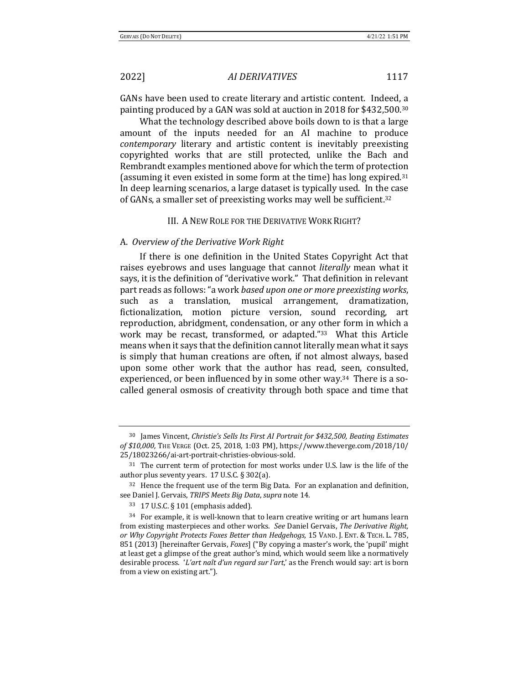GANs have been used to create literary and artistic content. Indeed, a painting produced by a GAN was sold at auction in 2018 for \$432,500.<sup>30</sup>

What the technology described above boils down to is that a large amount of the inputs needed for an AI machine to produce *contemporary* literary and artistic content is inevitably preexisting copyrighted works that are still protected, unlike the Bach and Rembrandt examples mentioned above for which the term of protection (assuming it even existed in some form at the time) has long expired.<sup>31</sup> In deep learning scenarios, a large dataset is typically used. In the case of GANs, a smaller set of preexisting works may well be sufficient.<sup>32</sup>

### III. A NEW ROLE FOR THE DERIVATIVE WORK RIGHT?

### A. *Overview of the Derivative Work Right*

If there is one definition in the United States Copyright Act that raises eyebrows and uses language that cannot *literally* mean what it says, it is the definition of "derivative work." That definition in relevant part reads as follows: "a work based upon one or more preexisting works, such as a translation, musical arrangement, dramatization, fictionalization, motion picture version, sound recording, art reproduction, abridgment, condensation, or any other form in which a work may be recast, transformed, or adapted."<sup>33</sup> What this Article means when it says that the definition cannot literally mean what it says is simply that human creations are often, if not almost always, based upon some other work that the author has read, seen, consulted, experienced, or been influenced by in some other way.<sup>34</sup> There is a socalled general osmosis of creativity through both space and time that

<sup>&</sup>lt;sup>30</sup> James Vincent, *Christie's Sells Its First AI Portrait for* \$432,500, Beating Estimates *of \$10,000,* THE VERGE (Oct. 25, 2018, 1:03 PM), https://www.theverge.com/2018/10/ 25/18023266/ai-art-portrait-christies-obvious-sold. 

 $31$  The current term of protection for most works under U.S. law is the life of the author plus seventy years.  $17$  U.S.C. § 302(a).

 $32$  Hence the frequent use of the term Big Data. For an explanation and definition, see Daniel J. Gervais, *TRIPS Meets Big Data*, *supra* note 14.

<sup>33 17</sup> U.S.C. § 101 (emphasis added).

 $34$  For example, it is well-known that to learn creative writing or art humans learn from existing masterpieces and other works. See Daniel Gervais, *The Derivative Right, or* Why Copyright Protects Foxes Better than Hedgehogs, 15 VAND. J. ENT. & TECH. L. 785, 851 (2013) [hereinafter Gervais, *Foxes*] ("By copying a master's work, the 'pupil' might at least get a glimpse of the great author's mind, which would seem like a normatively desirable process. '*L'art naît d'un regard sur l'art*,' as the French would say: art is born from a view on existing art.").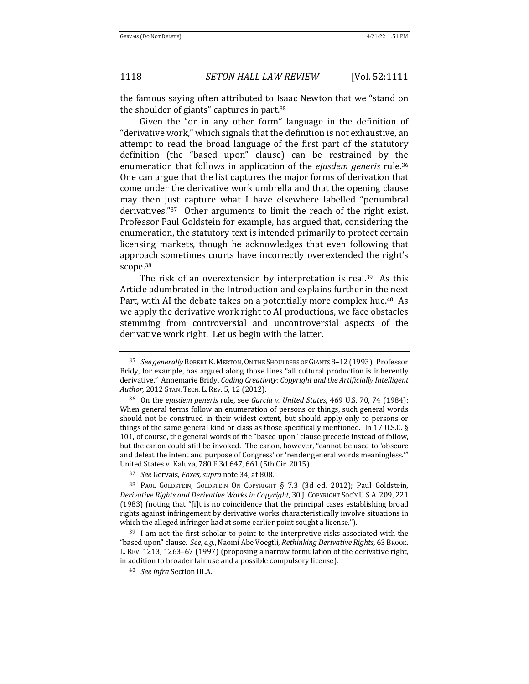the famous saying often attributed to Isaac Newton that we "stand on the shoulder of giants" captures in part. $35$ 

Given the "or in any other form" language in the definition of "derivative work," which signals that the definition is not exhaustive, an attempt to read the broad language of the first part of the statutory definition (the "based upon" clause) can be restrained by the enumeration that follows in application of the *ejusdem generis* rule.<sup>36</sup> One can argue that the list captures the major forms of derivation that come under the derivative work umbrella and that the opening clause may then just capture what I have elsewhere labelled "penumbral derivatives." $37$  Other arguments to limit the reach of the right exist. Professor Paul Goldstein for example, has argued that, considering the enumeration, the statutory text is intended primarily to protect certain licensing markets, though he acknowledges that even following that approach sometimes courts have incorrectly overextended the right's scope.38

The risk of an overextension by interpretation is real.<sup>39</sup> As this Article adumbrated in the Introduction and explains further in the next Part, with AI the debate takes on a potentially more complex hue.<sup>40</sup> As we apply the derivative work right to AI productions, we face obstacles stemming from controversial and uncontroversial aspects of the derivative work right. Let us begin with the latter.

<sup>&</sup>lt;sup>35</sup> See generally ROBERT K. MERTON, ON THE SHOULDERS OF GIANTS 8-12 (1993). Professor Bridy, for example, has argued along those lines "all cultural production is inherently derivative." Annemarie Bridy, *Coding Creativity: Copyright and the Artificially Intelligent* Author, 2012 STAN. TECH. L. REV. 5, 12 (2012).

<sup>36</sup> On the *ejusdem generis* rule, see *Garcia v. United States*, 469 U.S. 70, 74 (1984): When general terms follow an enumeration of persons or things, such general words should not be construed in their widest extent, but should apply only to persons or things of the same general kind or class as those specifically mentioned. In 17 U.S.C.  $\S$ 101, of course, the general words of the "based upon" clause precede instead of follow, but the canon could still be invoked. The canon, however, "cannot be used to 'obscure and defeat the intent and purpose of Congress' or 'render general words meaningless." United States v. Kaluza, 780 F.3d 647, 661 (5th Cir. 2015).

<sup>37</sup> *See* Gervais, *Foxes*, *supra* note 34, at 808.

<sup>&</sup>lt;sup>38</sup> PAUL GOLDSTEIN, GOLDSTEIN ON COPYRIGHT § 7.3 (3d ed. 2012); Paul Goldstein, Derivative Rights and Derivative Works in Copyright, 30 J. COPYRIGHT Soc'Y U.S.A. 209, 221 (1983) (noting that "[i]t is no coincidence that the principal cases establishing broad rights against infringement by derivative works characteristically involve situations in which the alleged infringer had at some earlier point sought a license.").

 $39$  I am not the first scholar to point to the interpretive risks associated with the "based upon" clause. See, e.g., Naomi Abe Voegtli, *Rethinking Derivative Rights*, 63 Brook. L. REV. 1213, 1263-67 (1997) (proposing a narrow formulation of the derivative right, in addition to broader fair use and a possible compulsory license).

<sup>&</sup>lt;sup>40</sup> *See infra* Section III.A.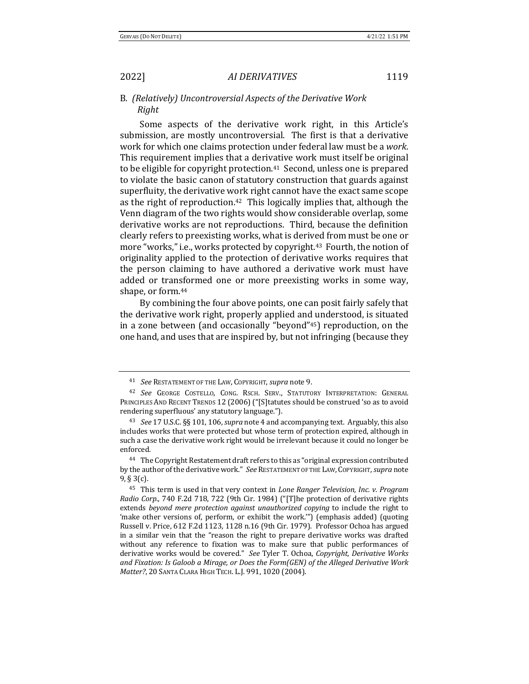B. (Relatively) Uncontroversial Aspects of the Derivative Work *Right*

Some aspects of the derivative work right, in this Article's submission, are mostly uncontroversial. The first is that a derivative work for which one claims protection under federal law must be a work. This requirement implies that a derivative work must itself be original to be eligible for copyright protection.<sup>41</sup> Second, unless one is prepared to violate the basic canon of statutory construction that guards against superfluity, the derivative work right cannot have the exact same scope as the right of reproduction.<sup>42</sup> This logically implies that, although the Venn diagram of the two rights would show considerable overlap, some derivative works are not reproductions. Third, because the definition clearly refers to preexisting works, what is derived from must be one or more "works," i.e., works protected by copyright.<sup>43</sup> Fourth, the notion of originality applied to the protection of derivative works requires that the person claiming to have authored a derivative work must have added or transformed one or more preexisting works in some way, shape, or form.<sup>44</sup>

By combining the four above points, one can posit fairly safely that the derivative work right, properly applied and understood, is situated in a zone between (and occasionally "beyond"<sup>45</sup>) reproduction, on the one hand, and uses that are inspired by, but not infringing (because they

<sup>41</sup> *See* RESTATEMENT OF THE LAW, COPYRIGHT, *supra* note 9.

<sup>&</sup>lt;sup>42</sup> See GEORGE COSTELLO, CONG. RSCH. SERV., STATUTORY INTERPRETATION: GENERAL PRINCIPLES AND RECENT TRENDS 12 (2006) ("[S]tatutes should be construed 'so as to avoid rendering superfluous' any statutory language.").

<sup>&</sup>lt;sup>43</sup> *See* 17 U.S.C. §§ 101, 106, *supra* note 4 and accompanying text. Arguably, this also includes works that were protected but whose term of protection expired, although in such a case the derivative work right would be irrelevant because it could no longer be enforced.

<sup>&</sup>lt;sup>44</sup> The Copyright Restatement draft refers to this as "original expression contributed by the author of the derivative work." See RESTATEMENT OF THE LAW, COPYRIGHT, *supra* note 9, § 3(c).

<sup>&</sup>lt;sup>45</sup> This term is used in that very context in *Lone Ranger Television, Inc. v. Program Radio Corp.*, 740 F.2d 718, 722 (9th Cir. 1984) ("[T]he protection of derivative rights extends beyond mere protection against unauthorized copying to include the right to 'make other versions of, perform, or exhibit the work."") (emphasis added) (quoting Russell v. Price, 612 F.2d 1123, 1128 n.16 (9th Cir. 1979). Professor Ochoa has argued in a similar vein that the "reason the right to prepare derivative works was drafted without any reference to fixation was to make sure that public performances of derivative works would be covered." See Tyler T. Ochoa, *Copyright, Derivative Works* and Fixation: Is Galoob a Mirage, or Does the Form(GEN) of the Alleged Derivative Work *Matter?*, 20 SANTA CLARA HIGH TECH. L.J. 991, 1020 (2004).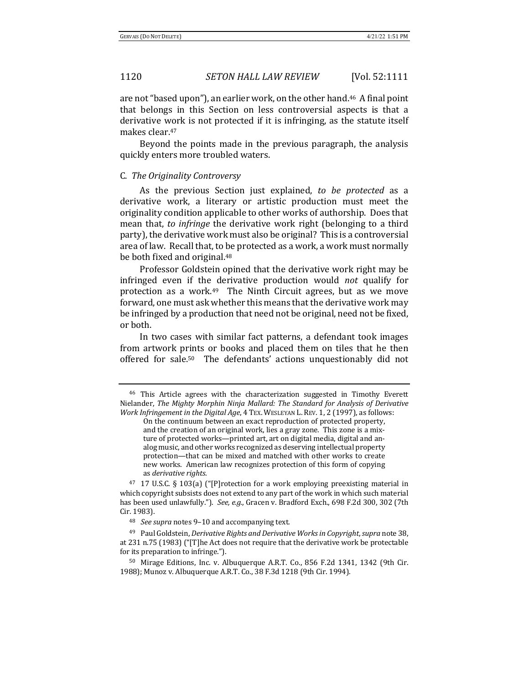are not "based upon"), an earlier work, on the other hand.<sup>46</sup> A final point that belongs in this Section on less controversial aspects is that a derivative work is not protected if it is infringing, as the statute itself makes clear.<sup>47</sup>

Beyond the points made in the previous paragraph, the analysis quickly enters more troubled waters.

### C. *The Originality Controversy*

As the previous Section just explained, to be protected as a derivative work, a literary or artistic production must meet the originality condition applicable to other works of authorship. Does that mean that, to *infringe* the derivative work right (belonging to a third party), the derivative work must also be original? This is a controversial area of law. Recall that, to be protected as a work, a work must normally be both fixed and original.<sup>48</sup>

Professor Goldstein opined that the derivative work right may be infringed even if the derivative production would *not* qualify for protection as a work. $49$  The Ninth Circuit agrees, but as we move forward, one must ask whether this means that the derivative work may be infringed by a production that need not be original, need not be fixed, or both. 

In two cases with similar fact patterns, a defendant took images from artwork prints or books and placed them on tiles that he then offered for sale.<sup>50</sup> The defendants' actions unquestionably did not

<sup>&</sup>lt;sup>46</sup> This Article agrees with the characterization suggested in Timothy Everett Nielander, *The Mighty Morphin Ninja Mallard: The Standard for Analysis of Derivative Work Infringement in the Digital Age*, 4 TEX. WESLEYAN L. REV. 1, 2 (1997), as follows:

On the continuum between an exact reproduction of protected property, and the creation of an original work, lies a gray zone. This zone is a mixture of protected works—printed art, art on digital media, digital and analog music, and other works recognized as deserving intellectual property protection—that can be mixed and matched with other works to create new works. American law recognizes protection of this form of copying as *derivative rights*.

 $47$  17 U.S.C. § 103(a) ("[P]rotection for a work employing preexisting material in which copyright subsists does not extend to any part of the work in which such material has been used unlawfully."). See, e.g., Gracen v. Bradford Exch., 698 F.2d 300, 302 (7th Cir. 1983).

<sup>48</sup> *See supra* notes 9-10 and accompanying text.

<sup>&</sup>lt;sup>49</sup> Paul Goldstein, *Derivative Rights and Derivative Works in Copyright*, *supra* note 38, at 231 n.75 (1983) ("[T]he Act does not require that the derivative work be protectable for its preparation to infringe.").

 $50$  Mirage Editions, Inc. v. Albuquerque A.R.T. Co., 856 F.2d 1341, 1342 (9th Cir. 1988); Munoz v. Albuquerque A.R.T. Co., 38 F.3d 1218 (9th Cir. 1994).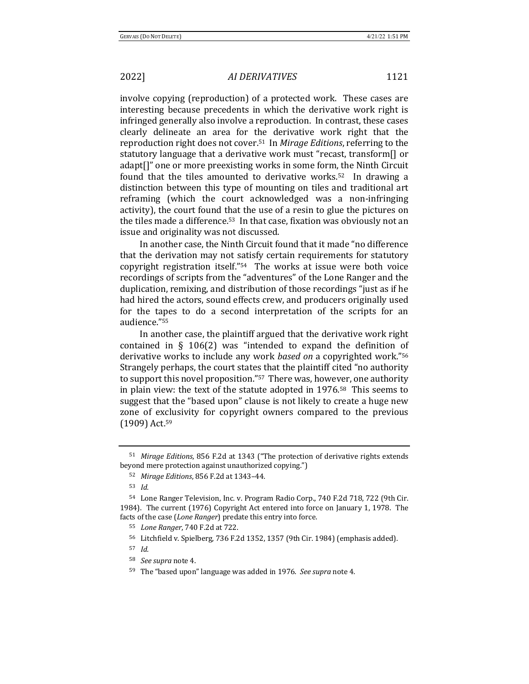involve copying (reproduction) of a protected work. These cases are interesting because precedents in which the derivative work right is infringed generally also involve a reproduction. In contrast, these cases clearly delineate an area for the derivative work right that the reproduction right does not cover.<sup>51</sup> In *Mirage Editions*, referring to the statutory language that a derivative work must "recast, transform<sup>[]</sup> or adapt[]" one or more preexisting works in some form, the Ninth Circuit found that the tiles amounted to derivative works.<sup>52</sup> In drawing a distinction between this type of mounting on tiles and traditional art reframing (which the court acknowledged was a non-infringing activity), the court found that the use of a resin to glue the pictures on the tiles made a difference.<sup>53</sup> In that case, fixation was obviously not an issue and originality was not discussed.

In another case, the Ninth Circuit found that it made "no difference that the derivation may not satisfy certain requirements for statutory copyright registration itself." $54$  The works at issue were both voice recordings of scripts from the "adventures" of the Lone Ranger and the duplication, remixing, and distribution of those recordings "just as if he had hired the actors, sound effects crew, and producers originally used for the tapes to do a second interpretation of the scripts for an audience."55 

In another case, the plaintiff argued that the derivative work right contained in  $\S$  106(2) was "intended to expand the definition of derivative works to include any work *based* on a copyrighted work."<sup>56</sup> Strangely perhaps, the court states that the plaintiff cited "no authority to support this novel proposition."<sup>57</sup> There was, however, one authority in plain view: the text of the statute adopted in  $1976.58$  This seems to suggest that the "based upon" clause is not likely to create a huge new zone of exclusivity for copyright owners compared to the previous (1909) Act.<sup>59</sup>

<sup>&</sup>lt;sup>51</sup> *Mirage Editions*, 856 F.2d at 1343 ("The protection of derivative rights extends beyond mere protection against unauthorized copying.")

<sup>52</sup> *Mirage Editions*, 856 F.2d at 1343-44.

<sup>53</sup> *Id.*

<sup>54</sup> Lone Ranger Television, Inc. v. Program Radio Corp., 740 F.2d 718, 722 (9th Cir. 1984). The current (1976) Copyright Act entered into force on January 1, 1978. The facts of the case (*Lone Ranger*) predate this entry into force.

<sup>55</sup> *Lone Ranger*, 740 F.2d at 722.

<sup>56</sup> Litchfield v. Spielberg, 736 F.2d 1352, 1357 (9th Cir. 1984) (emphasis added).

<sup>57</sup> *Id.*

<sup>&</sup>lt;sup>58</sup> *See supra* note 4.

<sup>59</sup> The "based upon" language was added in 1976. *See supra* note 4.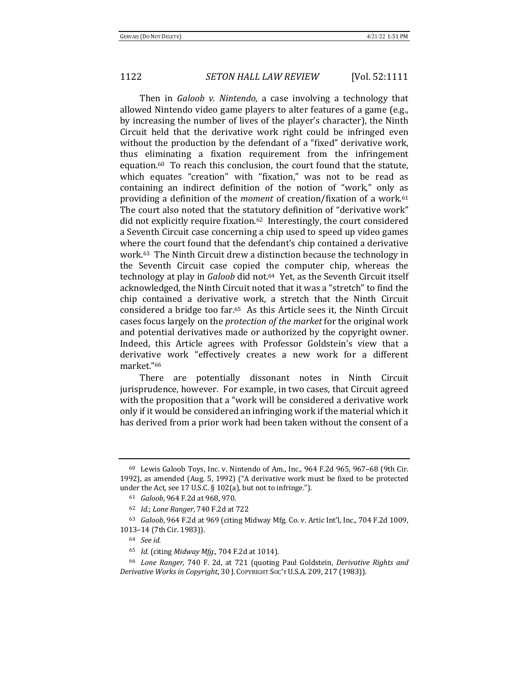Then in *Galoob v. Nintendo*, a case involving a technology that allowed Nintendo video game players to alter features of a game (e.g., by increasing the number of lives of the player's character), the Ninth Circuit held that the derivative work right could be infringed even without the production by the defendant of a "fixed" derivative work, thus eliminating a fixation requirement from the infringement equation.<sup>60</sup> To reach this conclusion, the court found that the statute, which equates "creation" with "fixation," was not to be read as containing an indirect definition of the notion of "work," only as providing a definition of the *moment* of creation/fixation of a work.<sup>61</sup> The court also noted that the statutory definition of "derivative work" did not explicitly require fixation.<sup>62</sup> Interestingly, the court considered a Seventh Circuit case concerning a chip used to speed up video games where the court found that the defendant's chip contained a derivative work.<sup>63</sup> The Ninth Circuit drew a distinction because the technology in the Seventh Circuit case copied the computer chip, whereas the technology at play in *Galoob* did not.<sup>64</sup> Yet, as the Seventh Circuit itself acknowledged, the Ninth Circuit noted that it was a "stretch" to find the chip contained a derivative work, a stretch that the Ninth Circuit considered a bridge too far.<sup>65</sup> As this Article sees it, the Ninth Circuit cases focus largely on the *protection of the market* for the original work and potential derivatives made or authorized by the copyright owner. Indeed, this Article agrees with Professor Goldstein's view that a derivative work "effectively creates a new work for a different market."66

There are potentially dissonant notes in Ninth Circuit jurisprudence, however. For example, in two cases, that Circuit agreed with the proposition that a "work will be considered a derivative work only if it would be considered an infringing work if the material which it has derived from a prior work had been taken without the consent of a

 $60$  Lewis Galoob Toys, Inc. v. Nintendo of Am., Inc., 964 F.2d 965, 967-68 (9th Cir. 1992), as amended (Aug. 5, 1992) ("A derivative work must be fixed to be protected under the Act, see 17 U.S.C.  $\S 102(a)$ , but not to infringe.").

<sup>61</sup> *Galoob*, 964 F.2d at 968, 970.

<sup>62</sup> *Id.*; *Lone Ranger*, 740 F.2d at 722

 $63$  *Galoob*, 964 F.2d at 969 (citing Midway Mfg. Co. v. Artic Int'l, Inc., 704 F.2d 1009, 1013-14 (7th Cir. 1983)).

<sup>64</sup> *See id.*

<sup>65</sup> *Id.* (citing *Midway Mfg.*, 704 F.2d at 1014).

<sup>&</sup>lt;sup>66</sup> *Lone Ranger,* 740 F. 2d, at 721 (quoting Paul Goldstein, *Derivative Rights and Derivative Works in Copyright,* 30 J. Copyright Soc'y U.S.A. 209, 217 (1983)).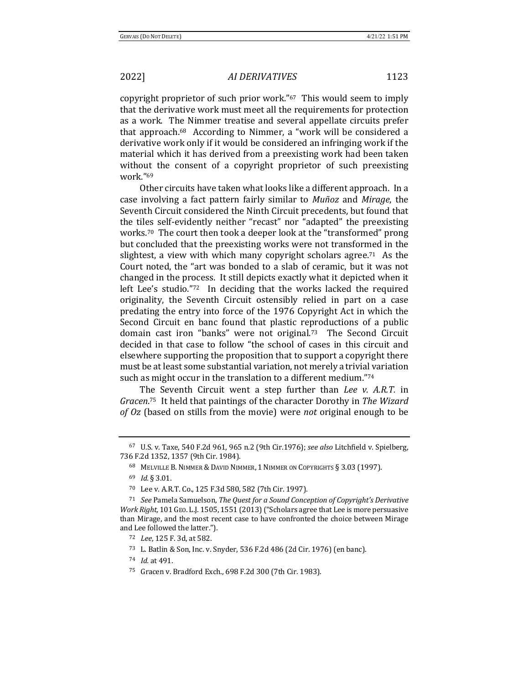copyright proprietor of such prior work."<sup>67</sup> This would seem to imply that the derivative work must meet all the requirements for protection as a work. The Nimmer treatise and several appellate circuits prefer that approach. $68$  According to Nimmer, a "work will be considered a derivative work only if it would be considered an infringing work if the material which it has derived from a preexisting work had been taken without the consent of a copyright proprietor of such preexisting work."69

Other circuits have taken what looks like a different approach. In a case involving a fact pattern fairly similar to *Muñoz* and *Mirage*, the Seventh Circuit considered the Ninth Circuit precedents, but found that the tiles self-evidently neither "recast" nor "adapted" the preexisting works.<sup>70</sup> The court then took a deeper look at the "transformed" prong but concluded that the preexisting works were not transformed in the slightest, a view with which many copyright scholars agree.<sup>71</sup> As the Court noted, the "art was bonded to a slab of ceramic, but it was not changed in the process. It still depicts exactly what it depicted when it left Lee's studio." $72$  In deciding that the works lacked the required originality, the Seventh Circuit ostensibly relied in part on a case predating the entry into force of the 1976 Copyright Act in which the Second Circuit en banc found that plastic reproductions of a public domain cast iron "banks" were not original.<sup>73</sup> The Second Circuit decided in that case to follow "the school of cases in this circuit and elsewhere supporting the proposition that to support a copyright there must be at least some substantial variation, not merely a trivial variation such as might occur in the translation to a different medium."<sup>74</sup>

The Seventh Circuit went a step further than *Lee v. A.R.T.* in Gracen.<sup>75</sup> It held that paintings of the character Dorothy in The Wizard *of* Oz (based on stills from the movie) were *not* original enough to be

<sup>&</sup>lt;sup>67</sup> U.S. v. Taxe, 540 F.2d 961, 965 n.2 (9th Cir.1976); see also Litchfield v. Spielberg, 736 F.2d 1352, 1357 (9th Cir. 1984).

<sup>68</sup> MELVILLE B. NIMMER & DAVID NIMMER, 1 NIMMER ON COPYRIGHTS § 3.03 (1997).

<sup>69</sup> *Id.* § 3.01.

<sup>70</sup> Lee v. A.R.T. Co., 125 F.3d 580, 582 (7th Cir. 1997).

<sup>&</sup>lt;sup>71</sup> *See* Pamela Samuelson, *The Quest for a Sound Conception of Copyright's Derivative Work Right,* 101 GEO. L.J. 1505, 1551 (2013) ("Scholars agree that Lee is more persuasive than Mirage, and the most recent case to have confronted the choice between Mirage and Lee followed the latter.").

<sup>72</sup> *Lee*, 125 F. 3d, at 582.

<sup>73</sup> L. Batlin & Son, Inc. v. Snyder, 536 F.2d 486 (2d Cir. 1976) (en banc).

<sup>74</sup> *Id.* at 491.

<sup>75</sup> Gracen v. Bradford Exch., 698 F.2d 300 (7th Cir. 1983).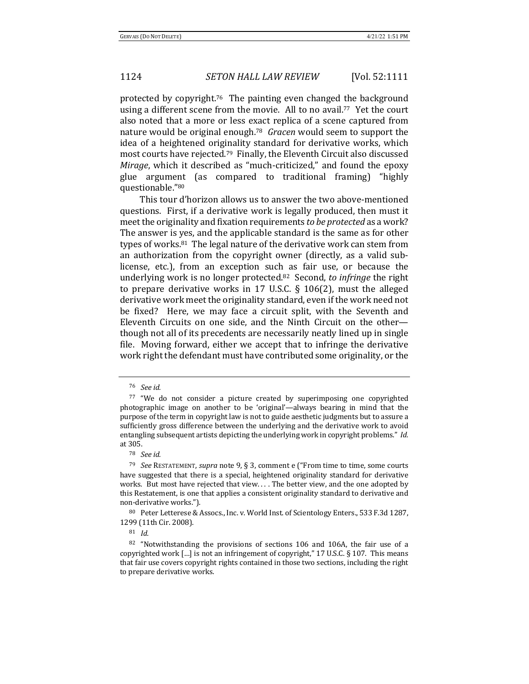protected by copyright.<sup>76</sup> The painting even changed the background using a different scene from the movie. All to no avail.<sup>77</sup> Yet the court also noted that a more or less exact replica of a scene captured from nature would be original enough.<sup>78</sup> *Gracen* would seem to support the idea of a heightened originality standard for derivative works, which most courts have rejected.<sup>79</sup> Finally, the Eleventh Circuit also discussed *Mirage*, which it described as "much-criticized," and found the epoxy glue argument (as compared to traditional framing) "highly questionable."80

This tour d'horizon allows us to answer the two above-mentioned questions. First, if a derivative work is legally produced, then must it meet the originality and fixation requirements *to be protected* as a work? The answer is yes, and the applicable standard is the same as for other types of works. $81$  The legal nature of the derivative work can stem from an authorization from the copyright owner (directly, as a valid sublicense, etc.), from an exception such as fair use, or because the underlying work is no longer protected.<sup>82</sup> Second, to *infringe* the right to prepare derivative works in 17 U.S.C.  $\S$  106(2), must the alleged derivative work meet the originality standard, even if the work need not be fixed? Here, we may face a circuit split, with the Seventh and Eleventh Circuits on one side, and the Ninth Circuit on the otherthough not all of its precedents are necessarily neatly lined up in single file. Moving forward, either we accept that to infringe the derivative work right the defendant must have contributed some originality, or the

80 Peter Letterese & Assocs., Inc. v. World Inst. of Scientology Enters., 533 F.3d 1287, 1299 (11th Cir. 2008).

<sup>76</sup> *See id.*

<sup>77 &</sup>quot;We do not consider a picture created by superimposing one copyrighted photographic image on another to be 'original'—always bearing in mind that the purpose of the term in copyright law is not to guide aesthetic judgments but to assure a sufficiently gross difference between the underlying and the derivative work to avoid entangling subsequent artists depicting the underlying work in copyright problems." Id. at 305.

<sup>78</sup> *See id.*

<sup>&</sup>lt;sup>79</sup> *See* RESTATEMENT, *supra* note 9, § 3, comment e ("From time to time, some courts have suggested that there is a special, heightened originality standard for derivative works. But most have rejected that view.... The better view, and the one adopted by this Restatement, is one that applies a consistent originality standard to derivative and non-derivative works.").

<sup>81</sup> *Id.*

 $82$  "Notwithstanding the provisions of sections 106 and 106A, the fair use of a copyrighted work  $\left[\ldots\right]$  is not an infringement of copyright," 17 U.S.C. § 107. This means that fair use covers copyright rights contained in those two sections, including the right to prepare derivative works.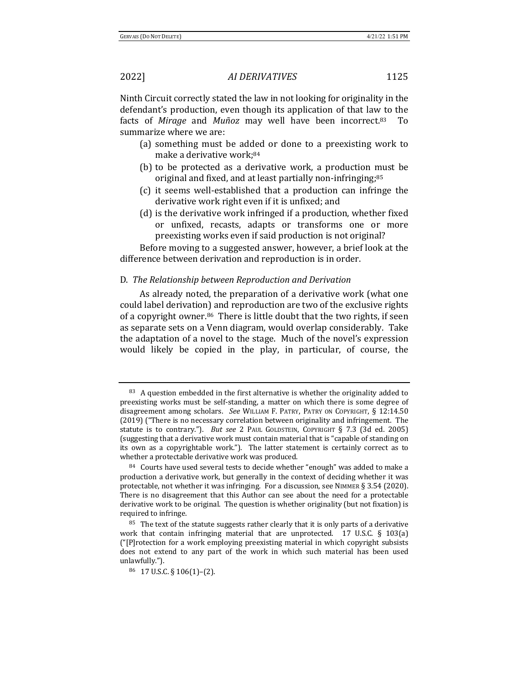Ninth Circuit correctly stated the law in not looking for originality in the defendant's production, even though its application of that law to the facts of *Mirage* and *Muñoz* may well have been incorrect.<sup>83</sup> summarize where we are:

- (a) something must be added or done to a preexisting work to make a derivative work;<sup>84</sup>
- (b) to be protected as a derivative work, a production must be original and fixed, and at least partially non-infringing;<sup>85</sup>
- (c) it seems well-established that a production can infringe the derivative work right even if it is unfixed; and
- $(d)$  is the derivative work infringed if a production, whether fixed or unfixed, recasts, adapts or transforms one or more preexisting works even if said production is not original?

Before moving to a suggested answer, however, a brief look at the difference between derivation and reproduction is in order.

### D. *The Relationship between Reproduction and Derivation*

As already noted, the preparation of a derivative work (what one could label derivation) and reproduction are two of the exclusive rights of a copyright owner.<sup>86</sup> There is little doubt that the two rights, if seen as separate sets on a Venn diagram, would overlap considerably. Take the adaptation of a novel to the stage. Much of the novel's expression would likely be copied in the play, in particular, of course, the

 $83$  A question embedded in the first alternative is whether the originality added to preexisting works must be self-standing, a matter on which there is some degree of disagreement among scholars. See WILLIAM F. PATRY, PATRY ON COPYRIGHT, § 12:14.50 (2019) ("There is no necessary correlation between originality and infringement. The statute is to contrary."). *But see* 2 PAUL GOLDSTEIN, COPYRIGHT § 7.3 (3d ed. 2005) (suggesting that a derivative work must contain material that is "capable of standing on its own as a copyrightable work."). The latter statement is certainly correct as to whether a protectable derivative work was produced.

 $84$  Courts have used several tests to decide whether "enough" was added to make a production a derivative work, but generally in the context of deciding whether it was protectable, not whether it was infringing. For a discussion, see NIMMER  $\S$  3.54 (2020). There is no disagreement that this Author can see about the need for a protectable derivative work to be original. The question is whether originality (but not fixation) is required to infringe.

 $85$  The text of the statute suggests rather clearly that it is only parts of a derivative work that contain infringing material that are unprotected.  $17 \text{ U.S.C.}$  § 103(a)  $("[P]$ rotection for a work employing preexisting material in which copyright subsists does not extend to any part of the work in which such material has been used unlawfully.").

<sup>86 17</sup> U.S.C. § 106(1)-(2).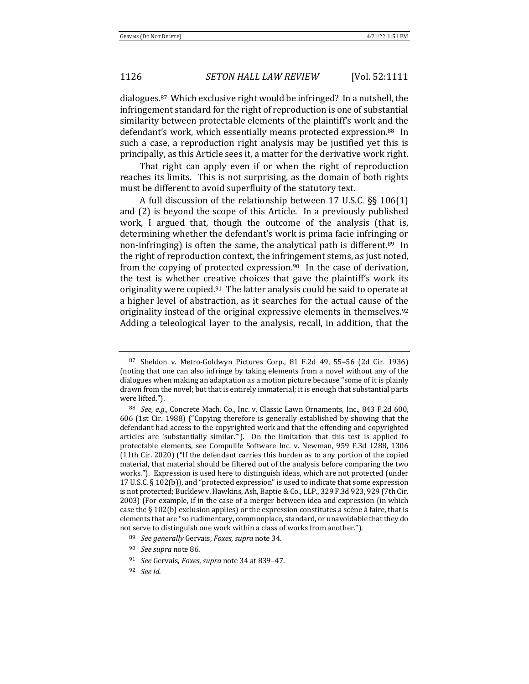dialogues.<sup>87</sup> Which exclusive right would be infringed? In a nutshell, the infringement standard for the right of reproduction is one of substantial similarity between protectable elements of the plaintiff's work and the defendant's work, which essentially means protected expression.<sup>88</sup> In such a case, a reproduction right analysis may be justified yet this is principally, as this Article sees it, a matter for the derivative work right.

That right can apply even if or when the right of reproduction reaches its limits. This is not surprising, as the domain of both rights must be different to avoid superfluity of the statutory text.

A full discussion of the relationship between 17 U.S.C. §§ 106(1) and  $(2)$  is beyond the scope of this Article. In a previously published work, I argued that, though the outcome of the analysis (that is, determining whether the defendant's work is prima facie infringing or non-infringing) is often the same, the analytical path is different.<sup>89</sup> In the right of reproduction context, the infringement stems, as just noted, from the copying of protected expression.<sup>90</sup> In the case of derivation, the test is whether creative choices that gave the plaintiff's work its originality were copied. $91$  The latter analysis could be said to operate at a higher level of abstraction, as it searches for the actual cause of the originality instead of the original expressive elements in themselves.<sup>92</sup> Adding a teleological layer to the analysis, recall, in addition, that the

 $87$  Sheldon v. Metro-Goldwyn Pictures Corp., 81 F.2d 49, 55–56 (2d Cir. 1936) (noting that one can also infringe by taking elements from a novel without any of the dialogues when making an adaptation as a motion picture because "some of it is plainly drawn from the novel; but that is entirely immaterial; it is enough that substantial parts were lifted.").

<sup>88</sup> *See, e.g.*, Concrete Mach. Co., Inc. v. Classic Lawn Ornaments, Inc., 843 F.2d 600, 606 (1st Cir. 1988) ("Copying therefore is generally established by showing that the defendant had access to the copyrighted work and that the offending and copyrighted articles are 'substantially similar.""). On the limitation that this test is applied to protectable elements, see Compulife Software Inc. v. Newman, 959 F.3d 1288, 1306 (11th Cir. 2020) ("If the defendant carries this burden as to any portion of the copied material, that material should be filtered out of the analysis before comparing the two works."). Expression is used here to distinguish ideas, which are not protected (under 17 U.S.C.  $\S$  102(b)), and "protected expression" is used to indicate that some expression is not protected; Bucklew v. Hawkins, Ash, Baptie & Co., LLP., 329 F.3d 923, 929 (7th Cir. 2003) (For example, if in the case of a merger between idea and expression (in which case the  $\S 102(b)$  exclusion applies) or the expression constitutes a scène à faire, that is elements that are "so rudimentary, commonplace, standard, or unavoidable that they do not serve to distinguish one work within a class of works from another.").

<sup>89</sup> *See generally* Gervais, *Foxes*, *supra* note 34.

<sup>&</sup>lt;sup>90</sup> *See supra* note 86.

<sup>&</sup>lt;sup>91</sup> *See* Gervais, *Foxes*, *supra* note 34 at 839-47.

<sup>92</sup> *See id.*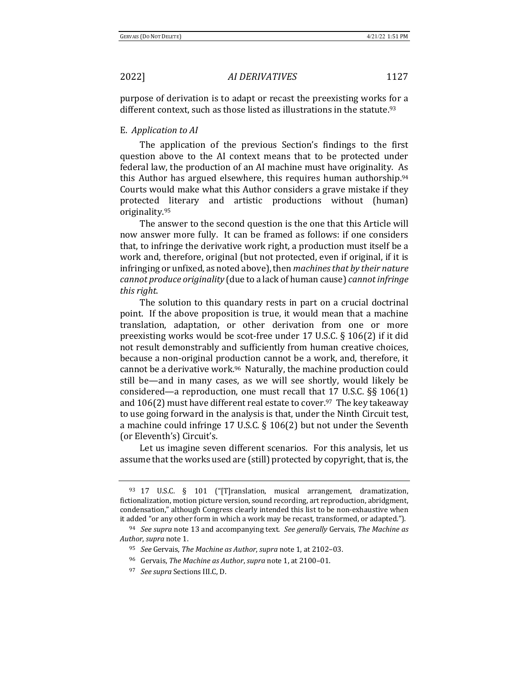purpose of derivation is to adapt or recast the preexisting works for a different context, such as those listed as illustrations in the statute.<sup>93</sup>

### E. *Application to AI*

The application of the previous Section's findings to the first question above to the AI context means that to be protected under federal law, the production of an AI machine must have originality. As this Author has argued elsewhere, this requires human authorship. $94$ Courts would make what this Author considers a grave mistake if they protected literary and artistic productions without (human) originality.95

The answer to the second question is the one that this Article will now answer more fully. It can be framed as follows: if one considers that, to infringe the derivative work right, a production must itself be a work and, therefore, original (but not protected, even if original, if it is infringing or unfixed, as noted above), then *machines that by their nature cannot produce originality* (due to a lack of human cause) *cannot infringe this right*. 

The solution to this quandary rests in part on a crucial doctrinal point. If the above proposition is true, it would mean that a machine translation, adaptation, or other derivation from one or more preexisting works would be scot-free under 17 U.S.C.  $\S$  106(2) if it did not result demonstrably and sufficiently from human creative choices, because a non-original production cannot be a work, and, therefore, it cannot be a derivative work.<sup>96</sup> Naturally, the machine production could still be—and in many cases, as we will see shortly, would likely be considered—a reproduction, one must recall that  $17 \text{ U.S.C.}$  §§  $106(1)$ and  $106(2)$  must have different real estate to cover.<sup>97</sup> The key takeaway to use going forward in the analysis is that, under the Ninth Circuit test, a machine could infringe 17 U.S.C.  $\S$  106(2) but not under the Seventh (or Eleventh's) Circuit's.

Let us imagine seven different scenarios. For this analysis, let us assume that the works used are (still) protected by copyright, that is, the

<sup>93 17</sup> U.S.C. § 101 ("[T]ranslation, musical arrangement, dramatization, fictionalization, motion picture version, sound recording, art reproduction, abridgment, condensation," although Congress clearly intended this list to be non-exhaustive when it added "or any other form in which a work may be recast, transformed, or adapted.").

<sup>&</sup>lt;sup>94</sup> *See supra* note 13 and accompanying text. *See generally* Gervais, *The Machine as* Author, *supra* note 1.

<sup>95</sup> *See* Gervais, *The Machine as Author*, *supra* note 1, at 2102–03. 

<sup>&</sup>lt;sup>96</sup> Gervais, *The Machine as Author*, *supra* note 1, at 2100-01.

<sup>&</sup>lt;sup>97</sup> *See supra* Sections III.C, D.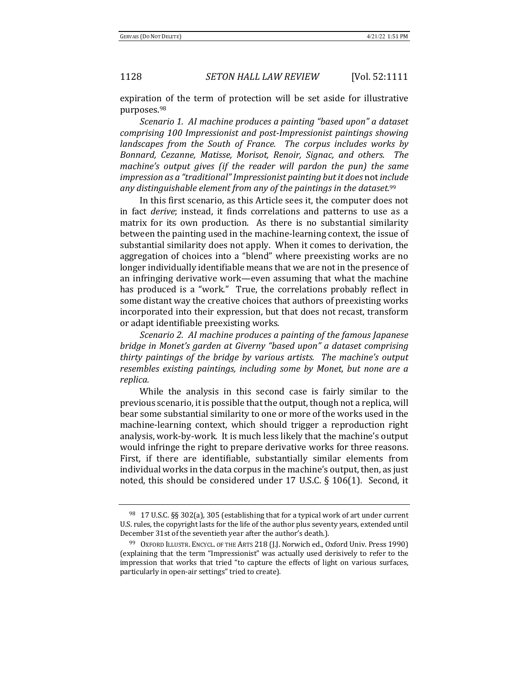expiration of the term of protection will be set aside for illustrative purposes.98 

*Scenario 1. AI machine produces a painting "based upon" a dataset comprising 100 Impressionist and post-Impressionist paintings showing landscapes from the South of France. The corpus includes works by Bonnard, Cezanne, Matisse, Morisot, Renoir, Signac, and others. The machine's* output gives (if the reader will pardon the pun) the same *impression as a "traditional" Impressionist painting but it does not include any distinguishable element from any of the paintings in the dataset.*<sup>99</sup>

In this first scenario, as this Article sees it, the computer does not in fact *derive*; instead, it finds correlations and patterns to use as a matrix for its own production. As there is no substantial similarity between the painting used in the machine-learning context, the issue of substantial similarity does not apply. When it comes to derivation, the aggregation of choices into a "blend" where preexisting works are no longer individually identifiable means that we are not in the presence of an infringing derivative work—even assuming that what the machine has produced is a "work." True, the correlations probably reflect in some distant way the creative choices that authors of preexisting works incorporated into their expression, but that does not recast, transform or adapt identifiable preexisting works.

*Scenario 2. AI machine produces a painting of the famous Japanese bridge in Monet's garden at Giverny "based upon" a dataset comprising thirty paintings of the bridge by various artists. The machine's output resembles existing paintings, including some by Monet, but none are a replica.*

While the analysis in this second case is fairly similar to the previous scenario, it is possible that the output, though not a replica, will bear some substantial similarity to one or more of the works used in the machine-learning context, which should trigger a reproduction right analysis, work-by-work. It is much less likely that the machine's output would infringe the right to prepare derivative works for three reasons. First, if there are identifiable, substantially similar elements from individual works in the data corpus in the machine's output, then, as just noted, this should be considered under 17 U.S.C.  $\S$  106(1). Second, it

<sup>98 17</sup> U.S.C. §§ 302(a), 305 (establishing that for a typical work of art under current U.S. rules, the copyright lasts for the life of the author plus seventy years, extended until December 31st of the seventieth year after the author's death.).

<sup>99</sup> OXFORD ILLUSTR. ENCYCL. OF THE ARTS 218 (J.J. Norwich ed., Oxford Univ. Press 1990) (explaining that the term "Impressionist" was actually used derisively to refer to the impression that works that tried "to capture the effects of light on various surfaces, particularly in open-air settings" tried to create).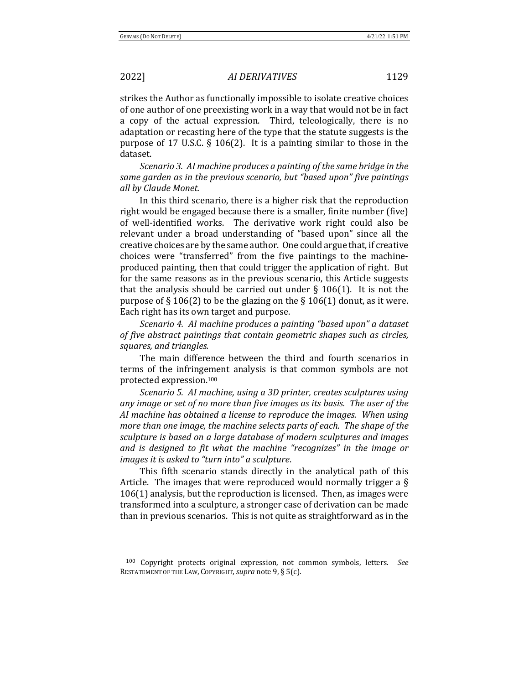strikes the Author as functionally impossible to isolate creative choices of one author of one preexisting work in a way that would not be in fact a copy of the actual expression. Third, teleologically, there is no adaptation or recasting here of the type that the statute suggests is the purpose of 17 U.S.C.  $\S$  106(2). It is a painting similar to those in the dataset.

*Scenario 3. AI machine produces a painting of the same bridge in the same garden as in the previous scenario, but "based upon" five paintings all by Claude Monet.*

In this third scenario, there is a higher risk that the reproduction right would be engaged because there is a smaller, finite number (five) of well-identified works. The derivative work right could also be relevant under a broad understanding of "based upon" since all the creative choices are by the same author. One could argue that, if creative choices were "transferred" from the five paintings to the machineproduced painting, then that could trigger the application of right. But for the same reasons as in the previous scenario, this Article suggests that the analysis should be carried out under  $\S$  106(1). It is not the purpose of  $\S 106(2)$  to be the glazing on the  $\S 106(1)$  donut, as it were. Each right has its own target and purpose.

*Scenario 4. AI machine produces a painting "based upon" a dataset of five abstract paintings that contain geometric shapes such as circles, squares, and triangles.*

The main difference between the third and fourth scenarios in terms of the infringement analysis is that common symbols are not protected expression.100

*Scenario 5. AI machine, using a 3D printer, creates sculptures using* any image or set of no more than five images as its basis. The user of the *AI* machine has obtained a license to reproduce the images. When using *more than one image, the machine selects parts of each. The shape of the* sculpture is based on a large database of modern sculptures and *images* and is designed to fit what the machine "recognizes" in the image or *images it is asked to "turn into" a sculpture.* 

This fifth scenario stands directly in the analytical path of this Article. The images that were reproduced would normally trigger a  $\S$  $106(1)$  analysis, but the reproduction is licensed. Then, as images were transformed into a sculpture, a stronger case of derivation can be made than in previous scenarios. This is not quite as straightforward as in the

<sup>&</sup>lt;sup>100</sup> Copyright protects original expression, not common symbols, letters. See RESTATEMENT OF THE LAW, COPYRIGHT, *supra* note 9, § 5(c).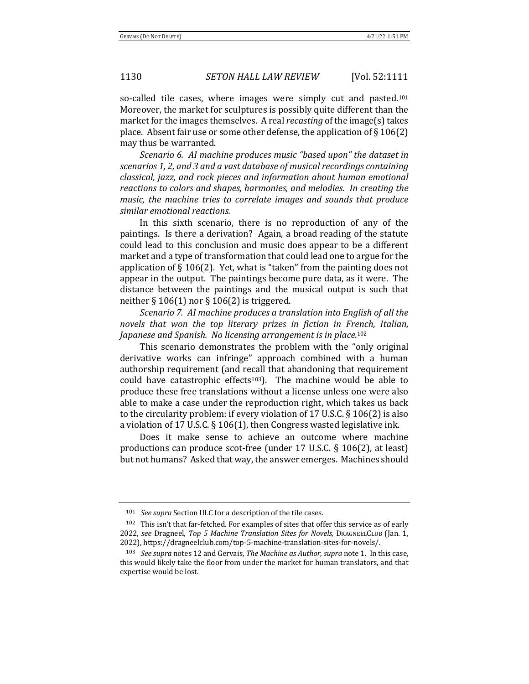so-called tile cases, where images were simply cut and pasted.<sup>101</sup> Moreover, the market for sculptures is possibly quite different than the market for the images themselves. A real *recasting* of the image(s) takes place. Absent fair use or some other defense, the application of  $\S 106(2)$ may thus be warranted.

*Scenario 6. AI machine produces music "based upon" the dataset in* scenarios 1, 2, and 3 and a vast database of musical recordings containing *classical, jazz, and rock pieces and information about human emotional* reactions to colors and shapes, harmonies, and melodies. In creating the music, the machine tries to correlate images and sounds that produce *similar emotional reactions.*

In this sixth scenario, there is no reproduction of any of the paintings. Is there a derivation? Again, a broad reading of the statute could lead to this conclusion and music does appear to be a different market and a type of transformation that could lead one to argue for the application of  $\S 106(2)$ . Yet, what is "taken" from the painting does not appear in the output. The paintings become pure data, as it were. The distance between the paintings and the musical output is such that neither  $\S 106(1)$  nor  $\S 106(2)$  is triggered.

*Scenario 7. AI machine produces a translation into English of all the novels* that won the top literary prizes in fiction in French, Italian, *Japanese and Spanish. No licensing arrangement is in place.*<sup>102</sup>

This scenario demonstrates the problem with the "only original derivative works can infringe" approach combined with a human authorship requirement (and recall that abandoning that requirement could have catastrophic effects<sup>103</sup>). The machine would be able to produce these free translations without a license unless one were also able to make a case under the reproduction right, which takes us back to the circularity problem: if every violation of 17 U.S.C.  $\S$  106(2) is also a violation of 17 U.S.C.  $\S$  106(1), then Congress wasted legislative ink.

Does it make sense to achieve an outcome where machine productions can produce scot-free (under 17 U.S.C.  $\S$  106(2), at least) but not humans? Asked that way, the answer emerges. Machines should

<sup>&</sup>lt;sup>101</sup> *See supra* Section III.C for a description of the tile cases.

 $102$  This isn't that far-fetched. For examples of sites that offer this service as of early 2022, see Dragneel, Top 5 Machine Translation Sites for Novels, DRAGNEELCLUB (Jan. 1, 2022), https://dragneelclub.com/top-5-machine-translation-sites-for-novels/.

<sup>103</sup> *See supra* notes 12 and Gervais, *The Machine as Author*, *supra* note 1. In this case, this would likely take the floor from under the market for human translators, and that expertise would be lost.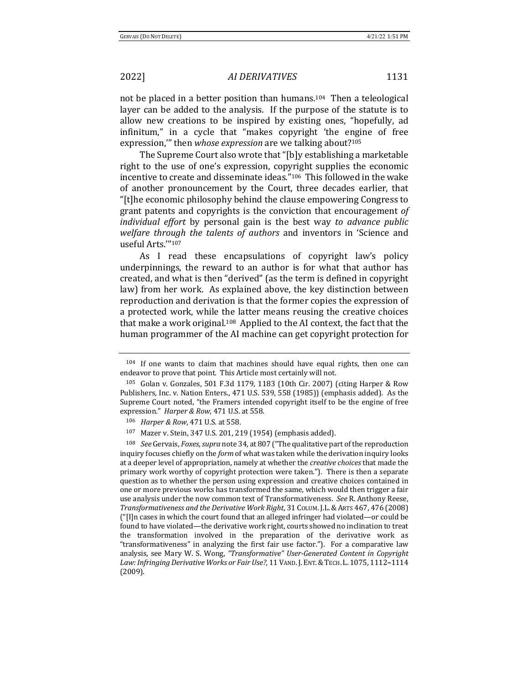not be placed in a better position than humans.<sup>104</sup> Then a teleological layer can be added to the analysis. If the purpose of the statute is to allow new creations to be inspired by existing ones, "hopefully, ad infinitum," in a cycle that "makes copyright 'the engine of free expression," then *whose expression* are we talking about?<sup>105</sup>

The Supreme Court also wrote that "[b]y establishing a marketable right to the use of one's expression, copyright supplies the economic incentive to create and disseminate ideas."<sup>106</sup> This followed in the wake of another pronouncement by the Court, three decades earlier, that "[t]he economic philosophy behind the clause empowering Congress to grant patents and copyrights is the conviction that encouragement of *individual effort* by personal gain is the best way to advance public *welfare through the talents of authors* and inventors in 'Science and useful Arts.'"107

As I read these encapsulations of copyright law's policy underpinnings, the reward to an author is for what that author has created, and what is then "derived" (as the term is defined in copyright law) from her work. As explained above, the key distinction between reproduction and derivation is that the former copies the expression of a protected work, while the latter means reusing the creative choices that make a work original.<sup>108</sup> Applied to the AI context, the fact that the human programmer of the AI machine can get copyright protection for

 $104$  If one wants to claim that machines should have equal rights, then one can endeavor to prove that point. This Article most certainly will not.

 $105$  Golan v. Gonzales, 501 F.3d 1179, 1183 (10th Cir. 2007) (citing Harper & Row Publishers, Inc. v. Nation Enters., 471 U.S. 539, 558 (1985)) (emphasis added). As the Supreme Court noted, "the Framers intended copyright itself to be the engine of free expression." Harper & Row, 471 U.S. at 558.

<sup>106</sup> *Harper & Row*, 471 U.S. at 558.

<sup>107</sup> Mazer v. Stein, 347 U.S. 201, 219 (1954) (emphasis added).

<sup>&</sup>lt;sup>108</sup> *See* Gervais, *Foxes*, *supra* note 34, at 807 ("The qualitative part of the reproduction inquiry focuses chiefly on the *form* of what was taken while the derivation inquiry looks at a deeper level of appropriation, namely at whether the *creative choices* that made the primary work worthy of copyright protection were taken."). There is then a separate question as to whether the person using expression and creative choices contained in one or more previous works has transformed the same, which would then trigger a fair use analysis under the now common text of Transformativeness. See R. Anthony Reese, *Transformativeness and the Derivative Work Right*, 31 COLUM. J.L.&ARTS 467, 476 (2008)  $"$ [I]n cases in which the court found that an alleged infringer had violated—or could be found to have violated—the derivative work right, courts showed no inclination to treat the transformation involved in the preparation of the derivative work as "transformativeness" in analyzing the first fair use factor."). For a comparative law analysis, see Mary W. S. Wong, "Transformative" User-Generated Content in Copyright Law: Infringing Derivative Works or Fair Use?, 11 VAND. J. ENT. & TECH. L. 1075, 1112-1114 (2009).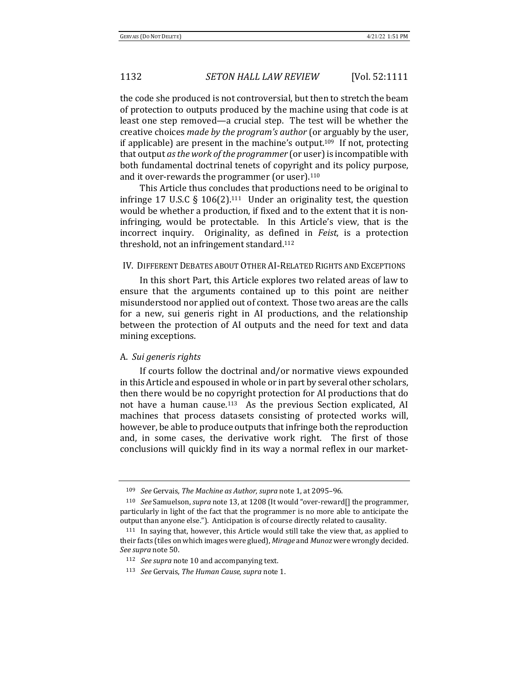the code she produced is not controversial, but then to stretch the beam of protection to outputs produced by the machine using that code is at least one step removed—a crucial step. The test will be whether the creative choices *made by the program's author* (or arguably by the user, if applicable) are present in the machine's output.<sup>109</sup> If not, protecting that output *asthe work ofthe programmer* (or user)is incompatible with both fundamental doctrinal tenets of copyright and its policy purpose, and it over-rewards the programmer (or user).110

This Article thus concludes that productions need to be original to infringe 17 U.S.C  $\S$  106(2).<sup>111</sup> Under an originality test, the question would be whether a production, if fixed and to the extent that it is noninfringing, would be protectable. In this Article's view, that is the incorrect inquiry. Originality, as defined in *Feist*, is a protection threshold, not an infringement standard.112

# IV. DIFFERENT DEBATES ABOUT OTHER AI-RELATED RIGHTS AND EXCEPTIONS

In this short Part, this Article explores two related areas of law to ensure that the arguments contained up to this point are neither misunderstood nor applied out of context. Those two areas are the calls for a new, sui generis right in AI productions, and the relationship between the protection of AI outputs and the need for text and data mining exceptions.

### A. *Sui generis rights*

If courts follow the doctrinal and/or normative views expounded in this Article and espoused in whole or in part by several other scholars, then there would be no copyright protection for AI productions that do not have a human cause.<sup>113</sup> As the previous Section explicated, AI machines that process datasets consisting of protected works will, however, be able to produce outputs that infringe both the reproduction and, in some cases, the derivative work right. The first of those conclusions will quickly find in its way a normal reflex in our market-

<sup>&</sup>lt;sup>109</sup> *See* Gervais, *The Machine as Author, supra* note 1, at 2095-96.

<sup>110</sup> *See* Samuelson, *supra* note 13, at 1208 (It would "over-reward[] the programmer, particularly in light of the fact that the programmer is no more able to anticipate the output than anyone else."). Anticipation is of course directly related to causality.

 $111$  In saying that, however, this Article would still take the view that, as applied to their facts (tiles on which images were glued), Mirage and Munoz were wrongly decided. See supra note 50.

<sup>&</sup>lt;sup>112</sup> *See supra* note 10 and accompanying text.

<sup>113</sup> *See* Gervais, *The Human Cause*, *supra* note 1.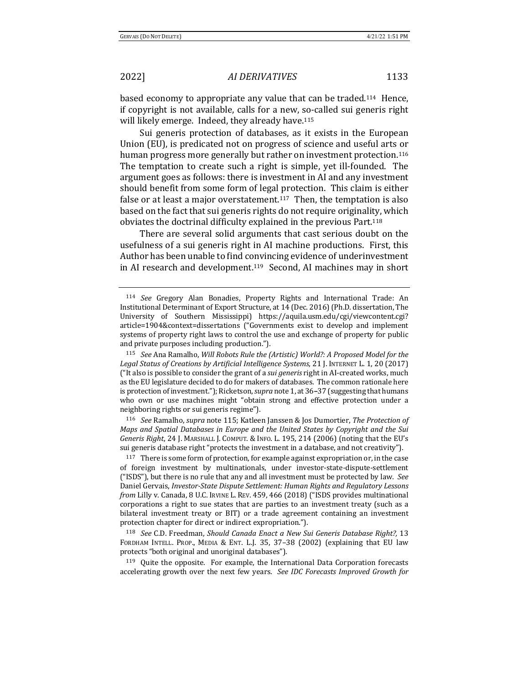based economy to appropriate any value that can be traded.<sup>114</sup> Hence, if copyright is not available, calls for a new, so-called sui generis right will likely emerge. Indeed, they already have.<sup>115</sup>

Sui generis protection of databases, as it exists in the European Union (EU), is predicated not on progress of science and useful arts or human progress more generally but rather on investment protection.<sup>116</sup> The temptation to create such a right is simple, yet ill-founded. The argument goes as follows: there is investment in AI and any investment should benefit from some form of legal protection. This claim is either false or at least a major overstatement.<sup>117</sup> Then, the temptation is also based on the fact that sui generis rights do not require originality, which obviates the doctrinal difficulty explained in the previous Part.<sup>118</sup>

There are several solid arguments that cast serious doubt on the usefulness of a sui generis right in AI machine productions. First, this Author has been unable to find convincing evidence of underinvestment in AI research and development.<sup>119</sup> Second, AI machines may in short

116 *See* Ramalho, *supra* note 115; Katleen Janssen & Jos Dumortier, *The Protection of Maps and Spatial Databases in Europe and the United States by Copyright and the Sui Generis Right,* 24 J. MARSHALL J. COMPUT. & INFO. L. 195, 214 (2006) (noting that the EU's sui generis database right "protects the investment in a database, and not creativity").

 $117$  There is some form of protection, for example against expropriation or, in the case of foreign investment by multinationals, under investor-state-dispute-settlement ("ISDS"), but there is no rule that any and all investment must be protected by law. See Daniel Gervais, *Investor-State Dispute Settlement: Human Rights and Regulatory Lessons from* Lilly v. Canada, 8 U.C. IRVINE L. REV. 459, 466 (2018) ("ISDS provides multinational corporations a right to sue states that are parties to an investment treaty (such as a bilateral investment treaty or BIT) or a trade agreement containing an investment protection chapter for direct or indirect expropriation.").

<sup>118</sup> *See* C.D. Freedman, *Should Canada Enact a New Sui Generis Database Right?,* 13 FORDHAM INTELL. PROP., MEDIA & ENT. L.J. 35, 37-38 (2002) (explaining that EU law protects "both original and unoriginal databases").

 $119$  Quite the opposite. For example, the International Data Corporation forecasts accelerating growth over the next few years. See *IDC Forecasts Improved Growth for* 

<sup>114</sup> See Gregory Alan Bonadies, Property Rights and International Trade: An Institutional Determinant of Export Structure, at 14 (Dec. 2016) (Ph.D. dissertation, The University of Southern Mississippi) https://aquila.usm.edu/cgi/viewcontent.cgi? article=1904&context=dissertations ("Governments exist to develop and implement systems of property right laws to control the use and exchange of property for public and private purposes including production.").

<sup>115</sup> *See* Ana Ramalho, *Will Robots Rule the (Artistic) World?: A Proposed Model for the* Legal Status of Creations by Artificial Intelligence Systems, 21 J. INTERNET L. 1, 20 (2017) ("It also is possible to consider the grant of a *sui generis* right in AI-created works, much as the EU legislature decided to do for makers of databases. The common rationale here is protection of investment."); Ricketson, *supra* note 1, at 36–37 (suggesting that humans who own or use machines might "obtain strong and effective protection under a neighboring rights or sui generis regime").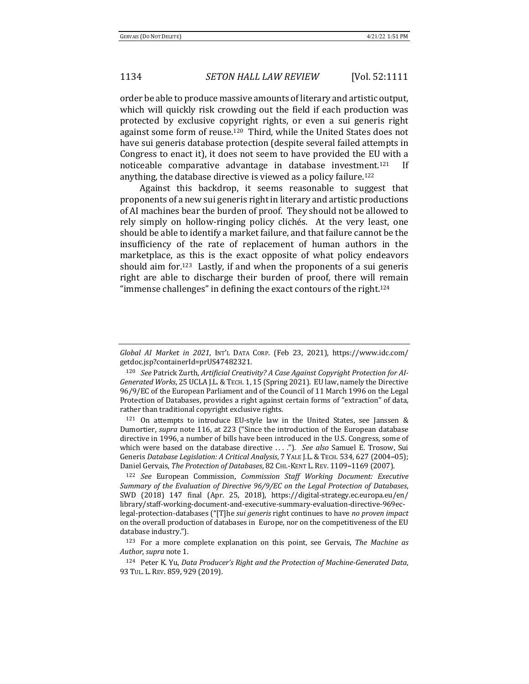order be able to produce massive amounts of literary and artistic output, which will quickly risk crowding out the field if each production was protected by exclusive copyright rights, or even a sui generis right against some form of reuse.<sup>120</sup> Third, while the United States does not have sui generis database protection (despite several failed attempts in Congress to enact it), it does not seem to have provided the EU with a noticeable comparative advantage in database investment.<sup>121</sup> If anything, the database directive is viewed as a policy failure.<sup>122</sup>

Against this backdrop, it seems reasonable to suggest that proponents of a new sui generis right in literary and artistic productions of AI machines bear the burden of proof. They should not be allowed to rely simply on hollow-ringing policy clichés. At the very least, one should be able to identify a market failure, and that failure cannot be the insufficiency of the rate of replacement of human authors in the marketplace, as this is the exact opposite of what policy endeavors should aim for.<sup>123</sup> Lastly, if and when the proponents of a sui generis right are able to discharge their burden of proof, there will remain "immense challenges" in defining the exact contours of the right.<sup>124</sup>

 $121$  On attempts to introduce EU-style law in the United States, see Janssen & Dumortier, *supra* note 116, at 223 ("Since the introduction of the European database directive in 1996, a number of bills have been introduced in the U.S. Congress, some of which were based on the database directive ...."). See also Samuel E. Trosow, Sui Generis Database Legislation: A Critical Analysis, 7 YALE J.L. & TECH. 534, 627 (2004-05); Daniel Gervais, *The Protection of Databases*, 82 CHI.-KENT L. REV. 1109-1169 (2007).

<sup>122</sup> *See* European Commission, *Commission Staff Working Document: Executive Summary of the Evaluation of Directive*  $96/9/EC$  *on the Legal Protection of Databases*, SWD (2018) 147 final (Apr. 25, 2018), https://digital-strategy.ec.europa.eu/en/ library/staff-working-document-and-executive-summary-evaluation-directive-969eclegal-protection-databases ("[T]he *sui generis* right continues to have no proven impact on the overall production of databases in Europe, nor on the competitiveness of the EU database industry.").

124 Peter K. Yu, Data Producer's Right and the Protection of Machine-Generated Data, 93 TUL. L. REV. 859, 929 (2019).

*Global AI Market in 2021*, INT'L DATA CORP. (Feb 23, 2021), https://www.idc.com/ getdoc.jsp?containerId=prUS47482321. 

<sup>&</sup>lt;sup>120</sup> See Patrick Zurth, Artificial Creativity? A Case Against Copyright Protection for AI-Generated Works, 25 UCLA J.L. & TECH. 1, 15 (Spring 2021). EU law, namely the Directive 96/9/EC of the European Parliament and of the Council of 11 March 1996 on the Legal Protection of Databases, provides a right against certain forms of "extraction" of data, rather than traditional copyright exclusive rights.

<sup>&</sup>lt;sup>123</sup> For a more complete explanation on this point, see Gervais, *The Machine as* Author, *supra* note 1.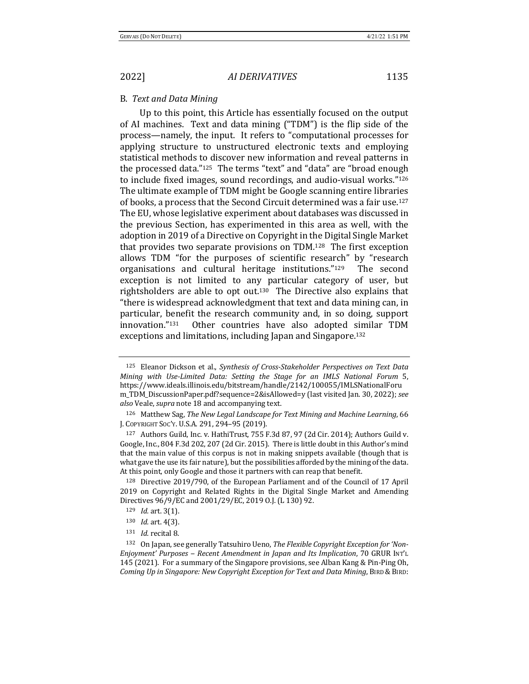### B. *Text and Data Mining*

Up to this point, this Article has essentially focused on the output of AI machines. Text and data mining ("TDM") is the flip side of the process—namely, the input. It refers to "computational processes for applying structure to unstructured electronic texts and employing statistical methods to discover new information and reveal patterns in the processed data."<sup>125</sup> The terms "text" and "data" are "broad enough to include fixed images, sound recordings, and audio-visual works."126 The ultimate example of TDM might be Google scanning entire libraries of books, a process that the Second Circuit determined was a fair use.<sup>127</sup> The EU, whose legislative experiment about databases was discussed in the previous Section, has experimented in this area as well, with the adoption in 2019 of a Directive on Copyright in the Digital Single Market that provides two separate provisions on TDM.<sup>128</sup> The first exception allows TDM "for the purposes of scientific research" by "research organisations and cultural heritage institutions."<sup>129</sup> The second exception is not limited to any particular category of user, but rightsholders are able to  $opt$  out.<sup>130</sup> The Directive also explains that "there is widespread acknowledgment that text and data mining can, in particular, benefit the research community and, in so doing, support innovation."<sup>131</sup> Other countries have also adopted similar TDM exceptions and limitations, including Japan and Singapore.<sup>132</sup>

<sup>&</sup>lt;sup>125</sup> Eleanor Dickson et al., *Synthesis of Cross-Stakeholder Perspectives on Text Data Mining with Use-Limited Data: Setting the Stage for an IMLS National Forum 5,* https://www.ideals.illinois.edu/bitstream/handle/2142/100055/IMLSNationalForu m\_TDM\_DiscussionPaper.pdf?sequence=2&isAllowed=y (last visited Jan. 30, 2022); see also Veale, *supra* note 18 and accompanying text.

<sup>&</sup>lt;sup>126</sup> Matthew Sag, *The New Legal Landscape for Text Mining and Machine Learning*, 66 J. COPYRIGHT SOC'Y. U.S.A. 291, 294-95 (2019).

<sup>127</sup> Authors Guild, Inc. v. HathiTrust, 755 F.3d 87, 97 (2d Cir. 2014); Authors Guild v. Google, Inc., 804 F.3d 202, 207 (2d Cir. 2015). There is little doubt in this Author's mind that the main value of this corpus is not in making snippets available (though that is what gave the use its fair nature), but the possibilities afforded by the mining of the data. At this point, only Google and those it partners with can reap that benefit.

 $128$  Directive 2019/790, of the European Parliament and of the Council of 17 April 2019 on Copyright and Related Rights in the Digital Single Market and Amending Directives  $96/9$ /EC and  $2001/29$ /EC, 2019 O.J. (L 130) 92.

<sup>129</sup> *Id.* art. 3(1).

<sup>130</sup> *Id.* art. 4(3).

<sup>131</sup> *Id.* recital 8.

<sup>&</sup>lt;sup>132</sup> On Japan, see generally Tatsuhiro Ueno, *The Flexible Copyright Exception for 'Non-Enjoyment'* Purposes – Recent Amendment in Japan and Its Implication, 70 GRUR INT'L 145 (2021). For a summary of the Singapore provisions, see Alban Kang & Pin-Ping Oh, *Coming* Up in Singapore: New Copyright Exception for Text and Data Mining, BIRD & BIRD: